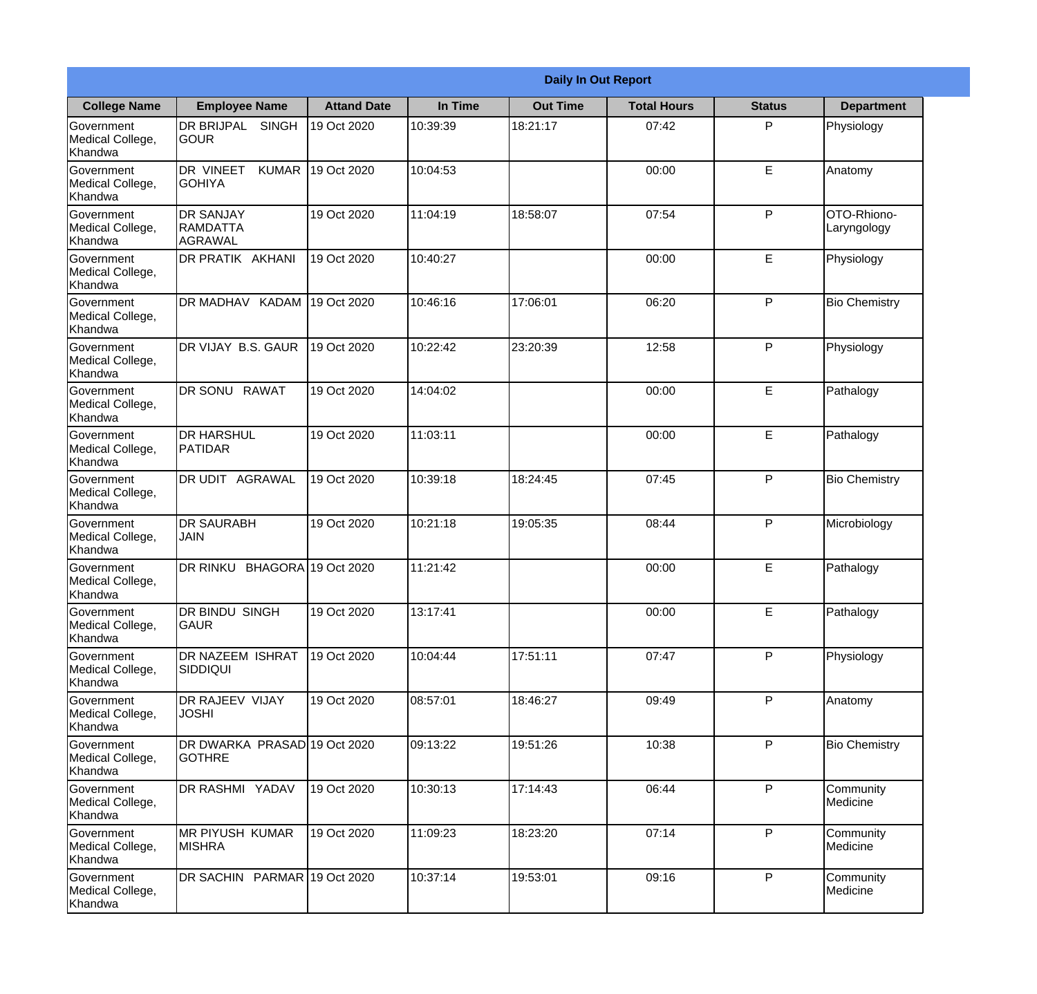|                                                  | <b>Daily In Out Report</b>                        |                     |          |                 |                    |               |                            |  |  |
|--------------------------------------------------|---------------------------------------------------|---------------------|----------|-----------------|--------------------|---------------|----------------------------|--|--|
| <b>College Name</b>                              | <b>Employee Name</b>                              | <b>Attand Date</b>  | In Time  | <b>Out Time</b> | <b>Total Hours</b> | <b>Status</b> | <b>Department</b>          |  |  |
| Government<br>Medical College,<br>Khandwa        | DR BRIJPAL<br><b>SINGH</b><br><b>GOUR</b>         | 19 Oct 2020         | 10:39:39 | 18:21:17        | 07:42              | P             | Physiology                 |  |  |
| Government<br>Medical College,<br>Khandwa        | <b>DR VINEET</b><br><b>KUMAR</b><br><b>GOHIYA</b> | 19 Oct 2020         | 10:04:53 |                 | 00:00              | E             | Anatomy                    |  |  |
| <b>Government</b><br>Medical College,<br>Khandwa | <b>DR SANJAY</b><br><b>RAMDATTA</b><br>AGRAWAL    | 19 Oct 2020         | 11:04:19 | 18:58:07        | 07:54              | P             | OTO-Rhiono-<br>Laryngology |  |  |
| Government<br>Medical College,<br>Khandwa        | DR PRATIK AKHANI                                  | 19 Oct 2020         | 10:40:27 |                 | 00:00              | E             | Physiology                 |  |  |
| Government<br>Medical College,<br>Khandwa        | DR MADHAV KADAM 19 Oct 2020                       |                     | 10:46:16 | 17:06:01        | 06:20              | P             | <b>Bio Chemistry</b>       |  |  |
| Government<br>Medical College,<br>Khandwa        | DR VIJAY B.S. GAUR                                | 19 Oct 2020         | 10:22:42 | 23:20:39        | 12:58              | P             | Physiology                 |  |  |
| Government<br>Medical College,<br>Khandwa        | <b>DR SONU RAWAT</b>                              | 19 Oct 2020         | 14:04:02 |                 | 00:00              | E             | Pathalogy                  |  |  |
| <b>Government</b><br>Medical College,<br>Khandwa | <b>DR HARSHUL</b><br>PATIDAR                      | 19 Oct 2020         | 11:03:11 |                 | 00:00              | E             | Pathalogy                  |  |  |
| Government<br>Medical College,<br>Khandwa        | <b>DR UDIT AGRAWAL</b>                            | 19 Oct 2020         | 10:39:18 | 18:24:45        | 07:45              | P             | <b>Bio Chemistry</b>       |  |  |
| Government<br>Medical College,<br>Khandwa        | <b>DR SAURABH</b><br><b>JAIN</b>                  | 19 Oct 2020         | 10:21:18 | 19:05:35        | 08:44              | P             | Microbiology               |  |  |
| Government<br>Medical College,<br>Khandwa        | DR RINKU                                          | BHAGORA 19 Oct 2020 | 11:21:42 |                 | 00:00              | E             | Pathalogy                  |  |  |
| Government<br>Medical College,<br>Khandwa        | DR BINDU SINGH<br> GAUR                           | 19 Oct 2020         | 13:17:41 |                 | 00:00              | E             | Pathalogy                  |  |  |
| Government<br>Medical College,<br>Khandwa        | <b>DR NAZEEM ISHRAT</b><br><b>SIDDIQUI</b>        | 19 Oct 2020         | 10:04:44 | 17:51:11        | 07:47              | P             | Physiology                 |  |  |
| Government<br>Medical College,<br>Khandwa        | DR RAJEEV VIJAY<br><b>JOSHI</b>                   | 19 Oct 2020         | 08:57:01 | 18:46:27        | 09:49              | P             | Anatomy                    |  |  |
| Government<br>Medical College,<br>Khandwa        | DR DWARKA PRASAD 19 Oct 2020<br><b>GOTHRE</b>     |                     | 09:13:22 | 19:51:26        | 10:38              | P             | <b>Bio Chemistry</b>       |  |  |
| Government<br>Medical College,<br>Khandwa        | DR RASHMI YADAV                                   | 19 Oct 2020         | 10:30:13 | 17:14:43        | 06:44              | P             | Community<br>Medicine      |  |  |
| Government<br>Medical College,<br>Khandwa        | <b>MR PIYUSH KUMAR</b><br><b>MISHRA</b>           | 19 Oct 2020         | 11:09:23 | 18:23:20        | 07:14              | P             | Community<br>Medicine      |  |  |
| Government<br>Medical College,<br>Khandwa        | DR SACHIN PARMAR 19 Oct 2020                      |                     | 10:37:14 | 19:53:01        | 09:16              | P             | Community<br>Medicine      |  |  |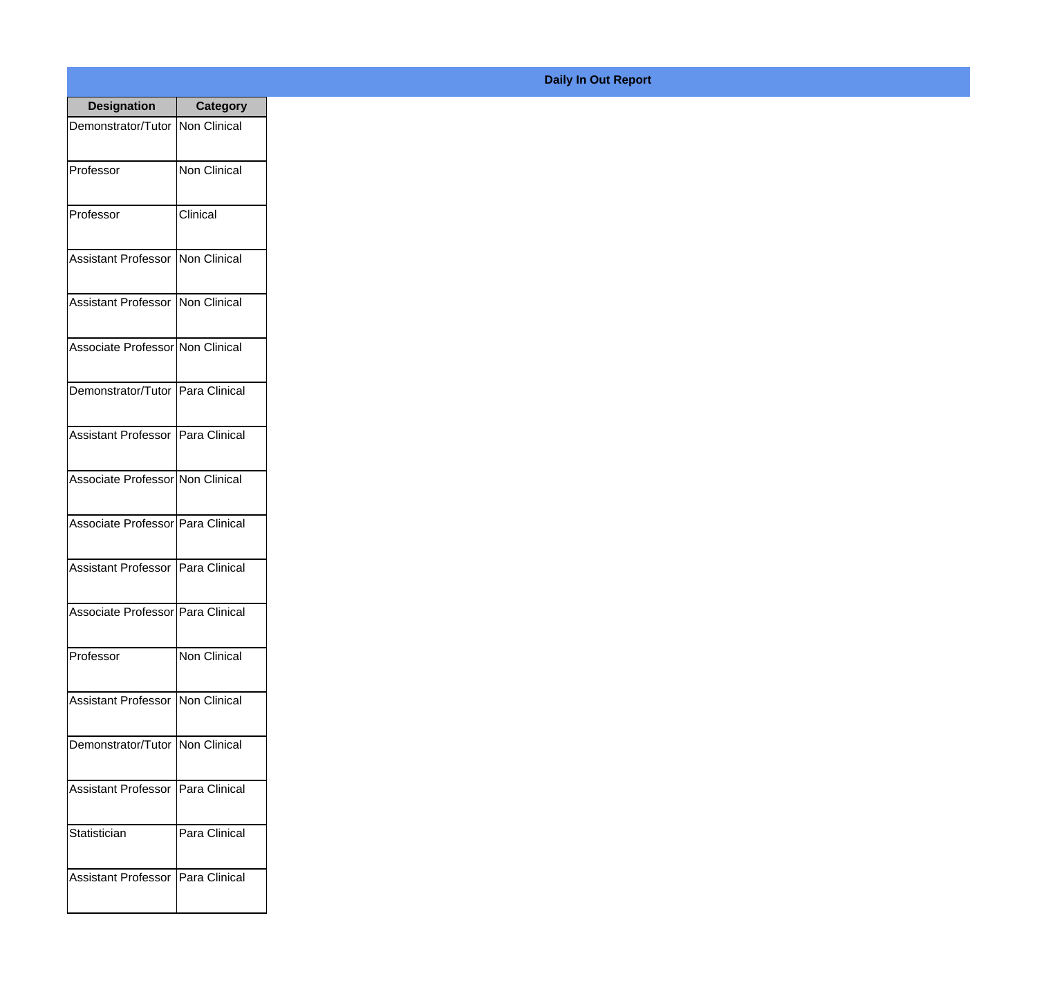| <b>Designation</b>                  | <b>Category</b>     |
|-------------------------------------|---------------------|
| Demonstrator/Tutor   Non Clinical   |                     |
| Professor                           | Non Clinical        |
| Professor                           | Clinical            |
| Assistant Professor                 | Non Clinical        |
| Assistant Professor   Non Clinical  |                     |
| Associate Professor Non Clinical    |                     |
| Demonstrator/Tutor   Para Clinical  |                     |
| Assistant Professor   Para Clinical |                     |
| Associate Professor Non Clinical    |                     |
| Associate Professor   Para Clinical |                     |
| <b>Assistant Professor</b>          | Para Clinical       |
| Associate Professor Para Clinical   |                     |
| Professor                           | <b>Non Clinical</b> |
| Assistant Professor   Non Clinical  |                     |
| Demonstrator/Tutor   Non Clinical   |                     |
| <b>Assistant Professor</b>          | Para Clinical       |
| Statistician                        | Para Clinical       |
| Assistant Professor   Para Clinical |                     |

## **Daily In Out Report**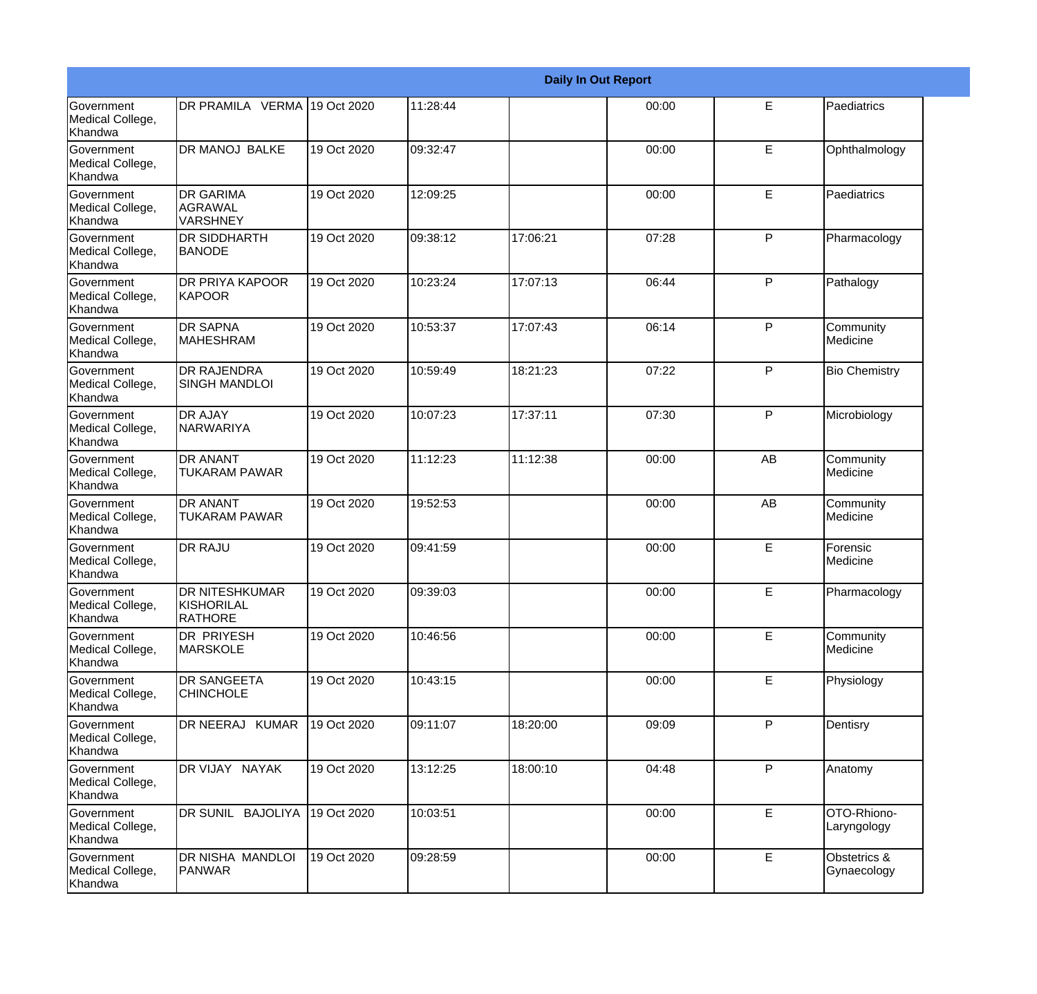|                                                  | <b>Daily In Out Report</b>                     |             |          |          |       |              |                             |  |  |
|--------------------------------------------------|------------------------------------------------|-------------|----------|----------|-------|--------------|-----------------------------|--|--|
| <b>Government</b><br>Medical College,<br>Khandwa | DR PRAMILA VERMA 19 Oct 2020                   |             | 11:28:44 |          | 00:00 | E            | Paediatrics                 |  |  |
| Government<br>Medical College,<br>Khandwa        | <b>DR MANOJ BALKE</b>                          | 19 Oct 2020 | 09:32:47 |          | 00:00 | E            | Ophthalmology               |  |  |
| <b>Government</b><br>Medical College,<br>Khandwa | <b>DR GARIMA</b><br><b>AGRAWAL</b><br>VARSHNEY | 19 Oct 2020 | 12:09:25 |          | 00:00 | E            | Paediatrics                 |  |  |
| Government<br>Medical College,<br>Khandwa        | <b>DR SIDDHARTH</b><br><b>BANODE</b>           | 19 Oct 2020 | 09:38:12 | 17:06:21 | 07:28 | $\mathsf{P}$ | Pharmacology                |  |  |
| Government<br>Medical College,<br>Khandwa        | DR PRIYA KAPOOR<br><b>KAPOOR</b>               | 19 Oct 2020 | 10:23:24 | 17:07:13 | 06:44 | P            | Pathalogy                   |  |  |
| Government<br>Medical College,<br>Khandwa        | <b>DR SAPNA</b><br><b>MAHESHRAM</b>            | 19 Oct 2020 | 10:53:37 | 17:07:43 | 06:14 | $\mathsf{P}$ | Community<br>Medicine       |  |  |
| Government<br>Medical College,<br>Khandwa        | <b>DR RAJENDRA</b><br><b>SINGH MANDLOI</b>     | 19 Oct 2020 | 10:59:49 | 18:21:23 | 07:22 | $\mathsf{P}$ | <b>Bio Chemistry</b>        |  |  |
| Government<br>Medical College,<br>Khandwa        | <b>DR AJAY</b><br><b>NARWARIYA</b>             | 19 Oct 2020 | 10:07:23 | 17:37:11 | 07:30 | ${\sf P}$    | Microbiology                |  |  |
| Government<br>Medical College,<br>Khandwa        | DR ANANT<br><b>TUKARAM PAWAR</b>               | 19 Oct 2020 | 11:12:23 | 11:12:38 | 00:00 | AB           | Community<br>Medicine       |  |  |
| <b>Government</b><br>Medical College,<br>Khandwa | <b>DR ANANT</b><br><b>TUKARAM PAWAR</b>        | 19 Oct 2020 | 19:52:53 |          | 00:00 | AB           | Community<br>Medicine       |  |  |
| Government<br>Medical College,<br><b>Khandwa</b> | <b>DR RAJU</b>                                 | 19 Oct 2020 | 09:41:59 |          | 00:00 | E            | Forensic<br>Medicine        |  |  |
| Government<br>Medical College,<br>Khandwa        | DR NITESHKUMAR<br>KISHORILAL<br><b>RATHORE</b> | 19 Oct 2020 | 09:39:03 |          | 00:00 | E            | Pharmacology                |  |  |
| Government<br>Medical College,<br>Khandwa        | DR PRIYESH<br><b>MARSKOLE</b>                  | 19 Oct 2020 | 10:46:56 |          | 00:00 | E            | Community<br>Medicine       |  |  |
| <b>Government</b><br>Medical College,<br>Khandwa | DR SANGEETA<br><b>CHINCHOLE</b>                | 19 Oct 2020 | 10:43:15 |          | 00:00 | E            | Physiology                  |  |  |
| Government<br>Medical College,<br>Khandwa        | DR NEERAJ KUMAR                                | 19 Oct 2020 | 09:11:07 | 18:20:00 | 09:09 | P            | Dentisry                    |  |  |
| Government<br>Medical College,<br>Khandwa        | DR VIJAY NAYAK                                 | 19 Oct 2020 | 13:12:25 | 18:00:10 | 04:48 | $\mathsf{P}$ | Anatomy                     |  |  |
| Government<br>Medical College,<br>Khandwa        | DR SUNIL BAJOLIYA                              | 19 Oct 2020 | 10:03:51 |          | 00:00 | E            | OTO-Rhiono-<br>Laryngology  |  |  |
| Government<br>Medical College,<br>Khandwa        | DR NISHA MANDLOI<br>PANWAR                     | 19 Oct 2020 | 09:28:59 |          | 00:00 | E            | Obstetrics &<br>Gynaecology |  |  |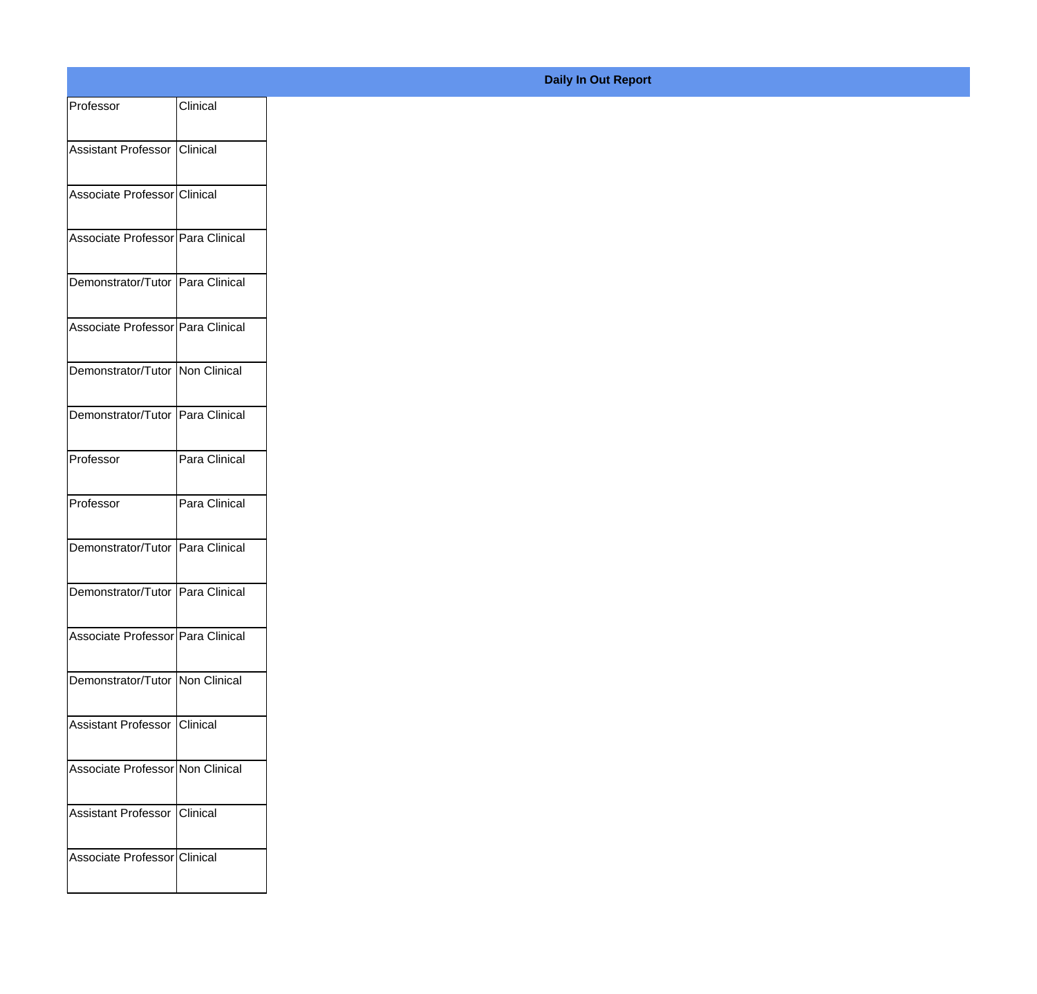| Professor                         | Clinical      |
|-----------------------------------|---------------|
| Assistant Professor               | Clinical      |
| Associate Professor Clinical      |               |
|                                   |               |
| Associate Professor Para Clinical |               |
| Demonstrator/Tutor Para Clinical  |               |
| Associate Professor Para Clinical |               |
| Demonstrator/Tutor Non Clinical   |               |
| Demonstrator/Tutor Para Clinical  |               |
|                                   |               |
| Professor                         | Para Clinical |
| Professor                         | Para Clinical |
| Demonstrator/Tutor Para Clinical  |               |
| Demonstrator/Tutor Para Clinical  |               |
|                                   |               |
| Associate Professor Para Clinical |               |
| Demonstrator/Tutor Non Clinical   |               |
| Assistant Professor Clinical      |               |
| Associate Professor Non Clinical  |               |
| Assistant Professor               | Clinical      |
|                                   |               |
| Associate Professor Clinical      |               |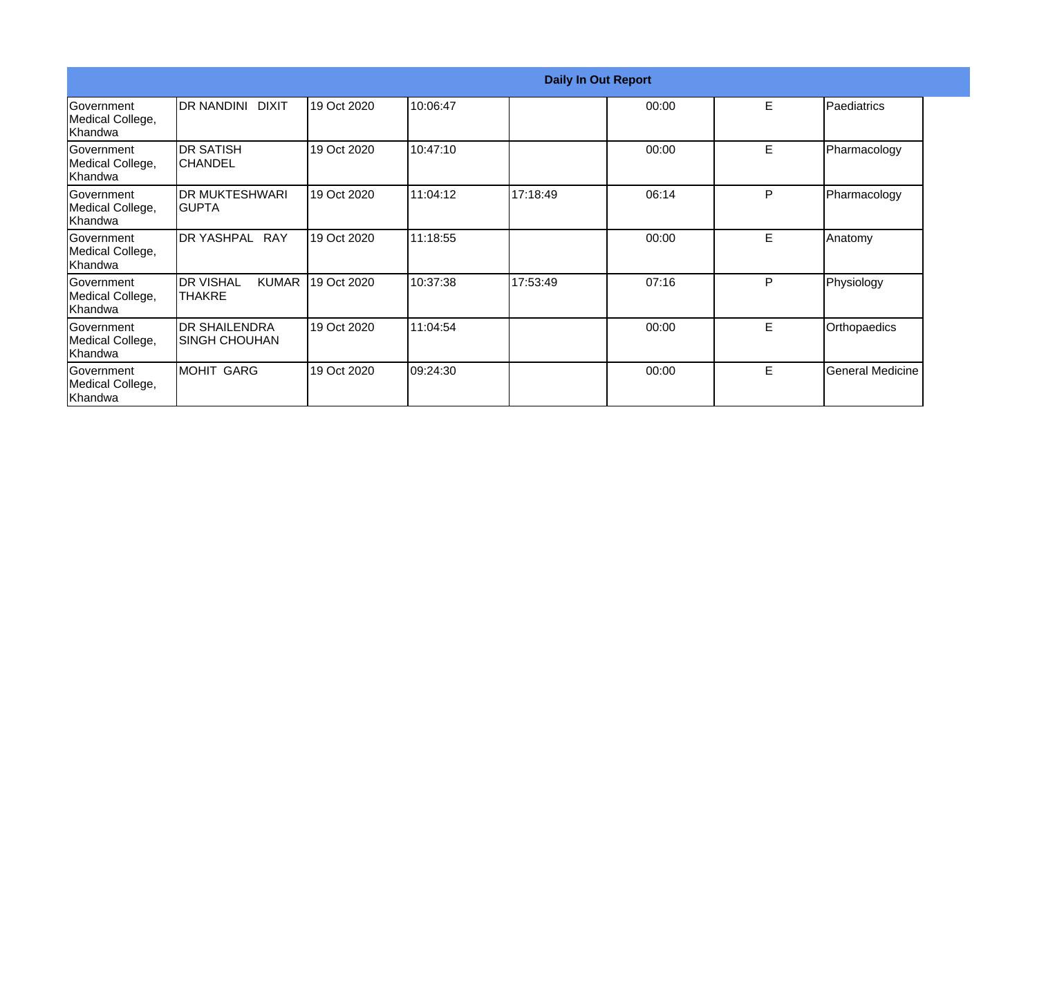|                                                  |                                                      |             |          | <b>Daily In Out Report</b> |       |    |                         |  |
|--------------------------------------------------|------------------------------------------------------|-------------|----------|----------------------------|-------|----|-------------------------|--|
| Government<br>Medical College,<br> Khandwa       | IDR NANDINI DIXIT                                    | 19 Oct 2020 | 10:06:47 |                            | 00:00 | E  | Paediatrics             |  |
| <b>Government</b><br>Medical College,<br>Khandwa | IDR SATISH<br>ICHANDEL                               | 19 Oct 2020 | 10:47:10 |                            | 00:00 | E  | Pharmacology            |  |
| Government<br>Medical College,<br> Khandwa       | <b>DR MUKTESHWARI</b><br>IGUPTA                      | 19 Oct 2020 | 11:04:12 | 17:18:49                   | 06:14 | P  | Pharmacology            |  |
| Government<br>Medical College,<br>Khandwa        | <b>RAY</b><br><b>IDR YASHPAL</b>                     | 19 Oct 2020 | 11:18:55 |                            | 00:00 | E. | Anatomy                 |  |
| Government<br>Medical College,<br>Khandwa        | <b>I</b> DR VISHAL<br><b>KUMAR</b><br><b>ITHAKRE</b> | 19 Oct 2020 | 10:37:38 | 17:53:49                   | 07:16 | P  | Physiology              |  |
| <b>Sovernment</b><br>Medical College,<br>Khandwa | <b>DR SHAILENDRA</b><br>ISINGH CHOUHAN               | 19 Oct 2020 | 11:04:54 |                            | 00:00 | E  | Orthopaedics            |  |
| <b>Sovernment</b><br>Medical College,<br>Khandwa | IMOHIT GARG                                          | 19 Oct 2020 | 09:24:30 |                            | 00:00 | Е  | <b>General Medicine</b> |  |